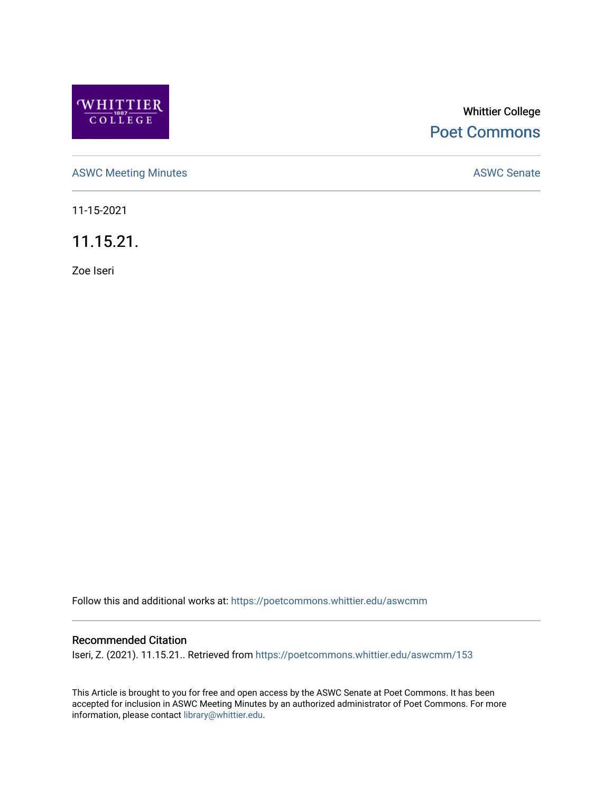

# Whittier College [Poet Commons](https://poetcommons.whittier.edu/)

[ASWC Meeting Minutes](https://poetcommons.whittier.edu/aswcmm) **ASWC Senate** 

11-15-2021

11.15.21.

Zoe Iseri

Follow this and additional works at: [https://poetcommons.whittier.edu/aswcmm](https://poetcommons.whittier.edu/aswcmm?utm_source=poetcommons.whittier.edu%2Faswcmm%2F153&utm_medium=PDF&utm_campaign=PDFCoverPages)

#### Recommended Citation

Iseri, Z. (2021). 11.15.21.. Retrieved from [https://poetcommons.whittier.edu/aswcmm/153](https://poetcommons.whittier.edu/aswcmm/153?utm_source=poetcommons.whittier.edu%2Faswcmm%2F153&utm_medium=PDF&utm_campaign=PDFCoverPages) 

This Article is brought to you for free and open access by the ASWC Senate at Poet Commons. It has been accepted for inclusion in ASWC Meeting Minutes by an authorized administrator of Poet Commons. For more information, please contact [library@whittier.edu.](mailto:library@whittier.edu)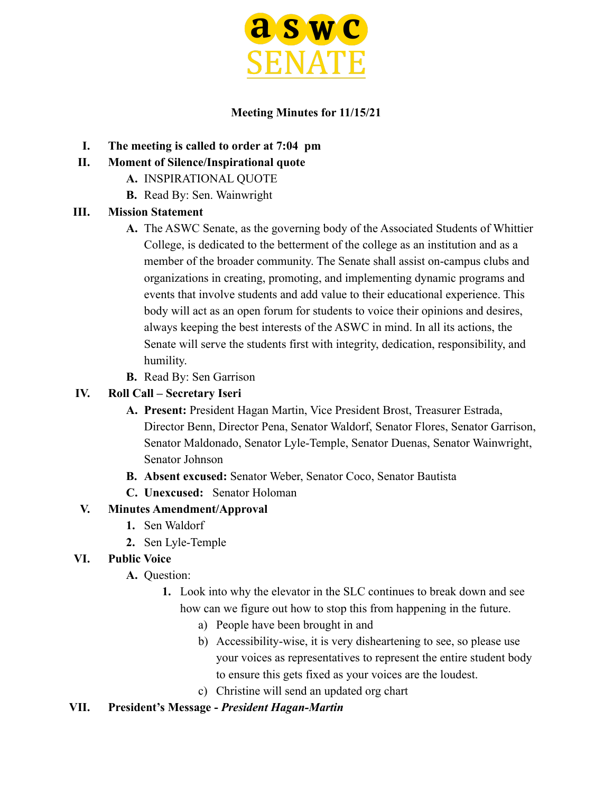

### **Meeting Minutes for 11/15/21**

- **I. The meeting is called to order at 7:04 pm**
- **II. Moment of Silence/Inspirational quote**
	- **A.** INSPIRATIONAL QUOTE
	- **B.** Read By: Sen. Wainwright

### **III. Mission Statement**

- **A.** The ASWC Senate, as the governing body of the Associated Students of Whittier College, is dedicated to the betterment of the college as an institution and as a member of the broader community. The Senate shall assist on-campus clubs and organizations in creating, promoting, and implementing dynamic programs and events that involve students and add value to their educational experience. This body will act as an open forum for students to voice their opinions and desires, always keeping the best interests of the ASWC in mind. In all its actions, the Senate will serve the students first with integrity, dedication, responsibility, and humility.
- **B.** Read By: Sen Garrison

### **IV. Roll Call – Secretary Iseri**

- **A. Present:** President Hagan Martin, Vice President Brost, Treasurer Estrada, Director Benn, Director Pena, Senator Waldorf, Senator Flores, Senator Garrison, Senator Maldonado, Senator Lyle-Temple, Senator Duenas, Senator Wainwright, Senator Johnson
- **B. Absent excused:** Senator Weber, Senator Coco, Senator Bautista
- **C. Unexcused:** Senator Holoman

# **V. Minutes Amendment/Approval**

- **1.** Sen Waldorf
- **2.** Sen Lyle-Temple

# **VI. Public Voice**

- **A.** Question:
	- **1.** Look into why the elevator in the SLC continues to break down and see how can we figure out how to stop this from happening in the future.
		- a) People have been brought in and
		- b) Accessibility-wise, it is very disheartening to see, so please use your voices as representatives to represent the entire student body to ensure this gets fixed as your voices are the loudest.
		- c) Christine will send an updated org chart

# **VII. President's Message -** *President Hagan-Martin*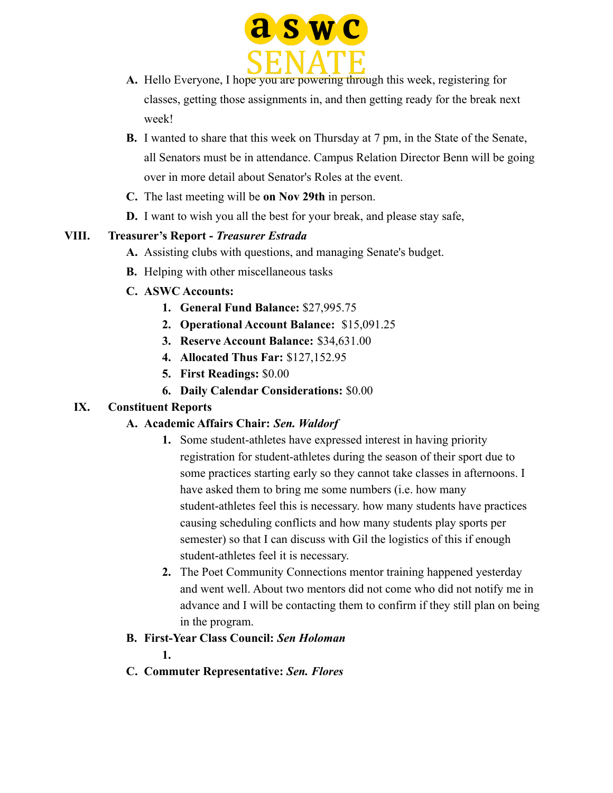

- **A.** Hello Everyone, I hope you are powering through this week, registering for classes, getting those assignments in, and then getting ready for the break next week!
- **B.** I wanted to share that this week on Thursday at 7 pm, in the State of the Senate, all Senators must be in attendance. Campus Relation Director Benn will be going over in more detail about Senator's Roles at the event.
- **C.** The last meeting will be **on Nov 29th** in person.
- **D.** I want to wish you all the best for your break, and please stay safe,

#### **VIII. Treasurer's Report -** *Treasurer Estrada*

- **A.** Assisting clubs with questions, and managing Senate's budget.
- **B.** Helping with other miscellaneous tasks
- **C. ASWC Accounts:**
	- **1. General Fund Balance:** \$27,995.75
	- **2. Operational Account Balance:** \$15,091.25
	- **3. Reserve Account Balance:** \$34,631.00
	- **4. Allocated Thus Far:** \$127,152.95
	- **5. First Readings:** \$0.00
	- **6. Daily Calendar Considerations:** \$0.00

### **IX. Constituent Reports**

### **A. Academic Affairs Chair:** *Sen. Waldorf*

- **1.** Some student-athletes have expressed interest in having priority registration for student-athletes during the season of their sport due to some practices starting early so they cannot take classes in afternoons. I have asked them to bring me some numbers (i.e. how many student-athletes feel this is necessary. how many students have practices causing scheduling conflicts and how many students play sports per semester) so that I can discuss with Gil the logistics of this if enough student-athletes feel it is necessary.
- **2.** The Poet Community Connections mentor training happened yesterday and went well. About two mentors did not come who did not notify me in advance and I will be contacting them to confirm if they still plan on being in the program.
- **B. First-Year Class Council:** *Sen Holoman*

**1.**

**C. Commuter Representative:** *Sen. Flores*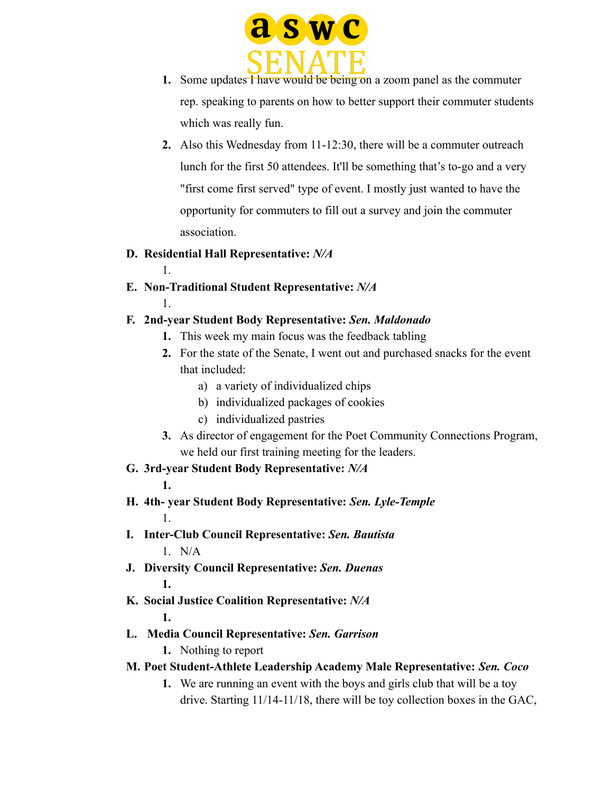

- **1.** Some updates  $\overline{f}$  have would be being on a zoom panel as the commuter rep. speaking to parents on how to better support their commuter students which was really fun.
- **2.** Also this Wednesday from 11-12:30, there will be a commuter outreach lunch for the first 50 attendees. It'll be something that's to-go and a very "first come first served" type of event. I mostly just wanted to have the opportunity for commuters to fill out a survey and join the commuter association.

#### **D. Residential Hall Representative:** *N/A*

- 1.
- **E. Non-Traditional Student Representative:** *N/A* 1.

### **F. 2nd-year Student Body Representative:** *Sen. Maldonado*

- **1.** This week my main focus was the feedback tabling
- **2.** For the state of the Senate, I went out and purchased snacks for the event that included:
	- a) a variety of individualized chips
	- b) individualized packages of cookies
	- c) individualized pastries
- **3.** As director of engagement for the Poet Community Connections Program, we held our first training meeting for the leaders.

### **G. 3rd-year Student Body Representative:** *N/A*

**1.**

- **H. 4th- year Student Body Representative:** *Sen. Lyle-Temple* 1.
- **I. Inter-Club Council Representative:** *Sen. Bautista* 1. N/A
- **J. Diversity Council Representative:** *Sen. Duenas* **1.**
- **K. Social Justice Coalition Representative:** *N/A*

**1.**

- **L. Media Council Representative:** *Sen. Garrison*
	- **1.** Nothing to report
- **M. Poet Student-Athlete Leadership Academy Male Representative:** *Sen. Coco*
	- **1.** We are running an event with the boys and girls club that will be a toy drive. Starting 11/14-11/18, there will be toy collection boxes in the GAC,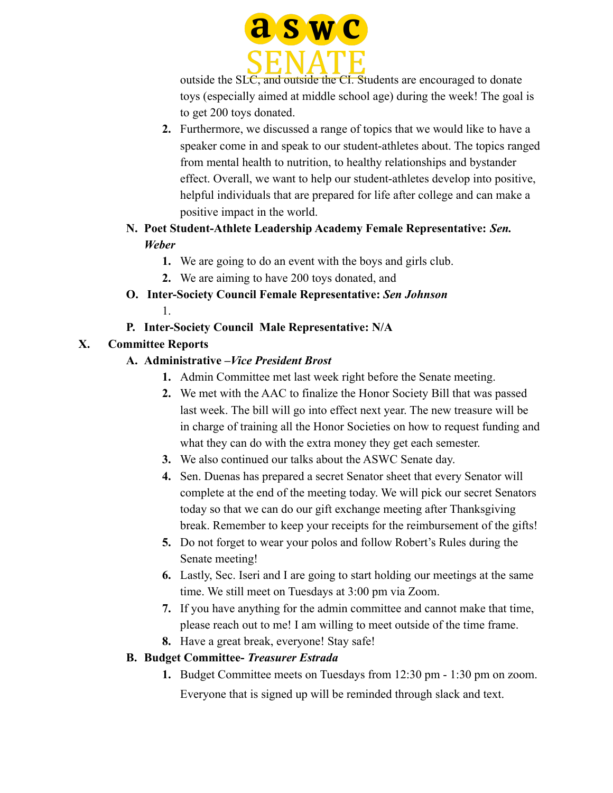

outside the SLC, and outside the CI. Students are encouraged to donate toys (especially aimed at middle school age) during the week! The goal is to get 200 toys donated.

- **2.** Furthermore, we discussed a range of topics that we would like to have a speaker come in and speak to our student-athletes about. The topics ranged from mental health to nutrition, to healthy relationships and bystander effect. Overall, we want to help our student-athletes develop into positive, helpful individuals that are prepared for life after college and can make a positive impact in the world.
- **N. Poet Student-Athlete Leadership Academy Female Representative:** *Sen. Weber*
	- **1.** We are going to do an event with the boys and girls club.
	- **2.** We are aiming to have 200 toys donated, and
- **O. Inter-Society Council Female Representative:** *Sen Johnson* 1.
- **P. Inter-Society Council Male Representative: N/A**

# **X. Committee Reports**

- **A. Administrative –***Vice President Brost*
	- **1.** Admin Committee met last week right before the Senate meeting.
	- **2.** We met with the AAC to finalize the Honor Society Bill that was passed last week. The bill will go into effect next year. The new treasure will be in charge of training all the Honor Societies on how to request funding and what they can do with the extra money they get each semester.
	- **3.** We also continued our talks about the ASWC Senate day.
	- **4.** Sen. Duenas has prepared a secret Senator sheet that every Senator will complete at the end of the meeting today. We will pick our secret Senators today so that we can do our gift exchange meeting after Thanksgiving break. Remember to keep your receipts for the reimbursement of the gifts!
	- **5.** Do not forget to wear your polos and follow Robert's Rules during the Senate meeting!
	- **6.** Lastly, Sec. Iseri and I are going to start holding our meetings at the same time. We still meet on Tuesdays at 3:00 pm via Zoom.
	- **7.** If you have anything for the admin committee and cannot make that time, please reach out to me! I am willing to meet outside of the time frame.
	- **8.** Have a great break, everyone! Stay safe!

# **B. Budget Committee-** *Treasurer Estrada*

**1.** Budget Committee meets on Tuesdays from 12:30 pm - 1:30 pm on zoom. Everyone that is signed up will be reminded through slack and text.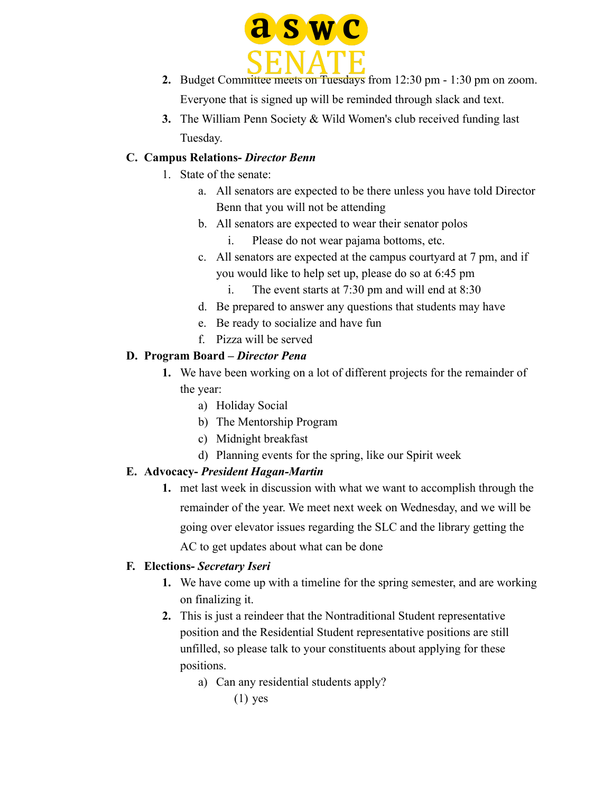

- **2.** Budget Committee meets on Tuesdays from 12:30 pm 1:30 pm on zoom. Everyone that is signed up will be reminded through slack and text.
- **3.** The William Penn Society & Wild Women's club received funding last Tuesday.

### **C. Campus Relations-** *Director Benn*

- 1. State of the senate:
	- a. All senators are expected to be there unless you have told Director Benn that you will not be attending
	- b. All senators are expected to wear their senator polos
		- i. Please do not wear pajama bottoms, etc.
	- c. All senators are expected at the campus courtyard at 7 pm, and if you would like to help set up, please do so at 6:45 pm
		- i. The event starts at 7:30 pm and will end at 8:30
	- d. Be prepared to answer any questions that students may have
	- e. Be ready to socialize and have fun
	- f. Pizza will be served

### **D. Program Board –** *Director Pena*

- **1.** We have been working on a lot of different projects for the remainder of the year:
	- a) Holiday Social
	- b) The Mentorship Program
	- c) Midnight breakfast
	- d) Planning events for the spring, like our Spirit week

### **E. Advocacy-** *President Hagan-Martin*

**1.** met last week in discussion with what we want to accomplish through the remainder of the year. We meet next week on Wednesday, and we will be going over elevator issues regarding the SLC and the library getting the AC to get updates about what can be done

### **F. Elections-** *Secretary Iseri*

- **1.** We have come up with a timeline for the spring semester, and are working on finalizing it.
- **2.** This is just a reindeer that the Nontraditional Student representative position and the Residential Student representative positions are still unfilled, so please talk to your constituents about applying for these positions.
	- a) Can any residential students apply?
		- $(1)$  yes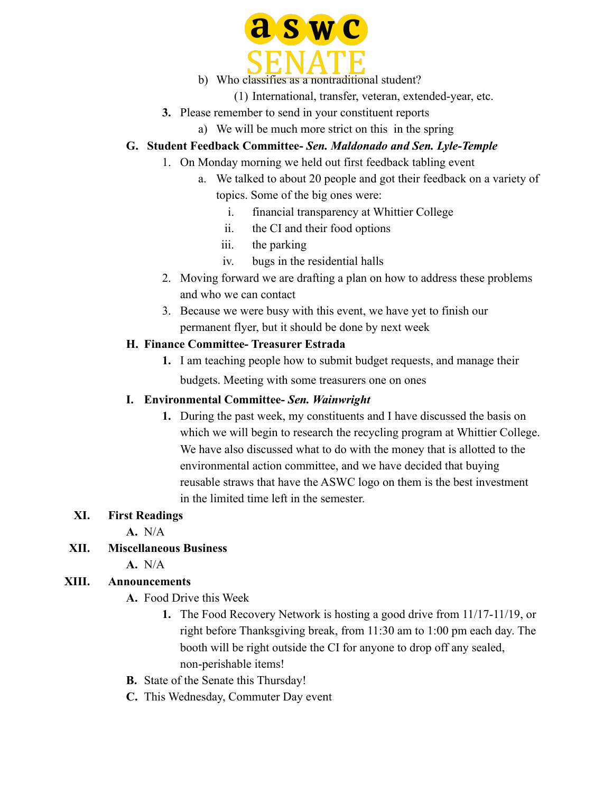

#### b) Who classifies as a nontraditional student?

- (1) International, transfer, veteran, extended-year, etc.
- **3.** Please remember to send in your constituent reports
	- a) We will be much more strict on this in the spring

### **G. Student Feedback Committee-** *Sen. Maldonado and Sen. Lyle-Temple*

- 1. On Monday morning we held out first feedback tabling event
	- a. We talked to about 20 people and got their feedback on a variety of topics. Some of the big ones were:
		- i. financial transparency at Whittier College
		- ii. the CI and their food options
		- iii. the parking
		- iv. bugs in the residential halls
- 2. Moving forward we are drafting a plan on how to address these problems and who we can contact
- 3. Because we were busy with this event, we have yet to finish our permanent flyer, but it should be done by next week

### **H. Finance Committee- Treasurer Estrada**

**1.** I am teaching people how to submit budget requests, and manage their budgets. Meeting with some treasurers one on ones

### **I. Environmental Committee-** *Sen. Wainwright*

**1.** During the past week, my constituents and I have discussed the basis on which we will begin to research the recycling program at Whittier College. We have also discussed what to do with the money that is allotted to the environmental action committee, and we have decided that buying reusable straws that have the ASWC logo on them is the best investment in the limited time left in the semester.

### **XI. First Readings**

**A.** N/A

### **XII. Miscellaneous Business**

**A.** N/A

### **XIII. Announcements**

- **A.** Food Drive this Week
	- **1.** The Food Recovery Network is hosting a good drive from 11/17-11/19, or right before Thanksgiving break, from 11:30 am to 1:00 pm each day. The booth will be right outside the CI for anyone to drop off any sealed, non-perishable items!
- **B.** State of the Senate this Thursday!
- **C.** This Wednesday, Commuter Day event